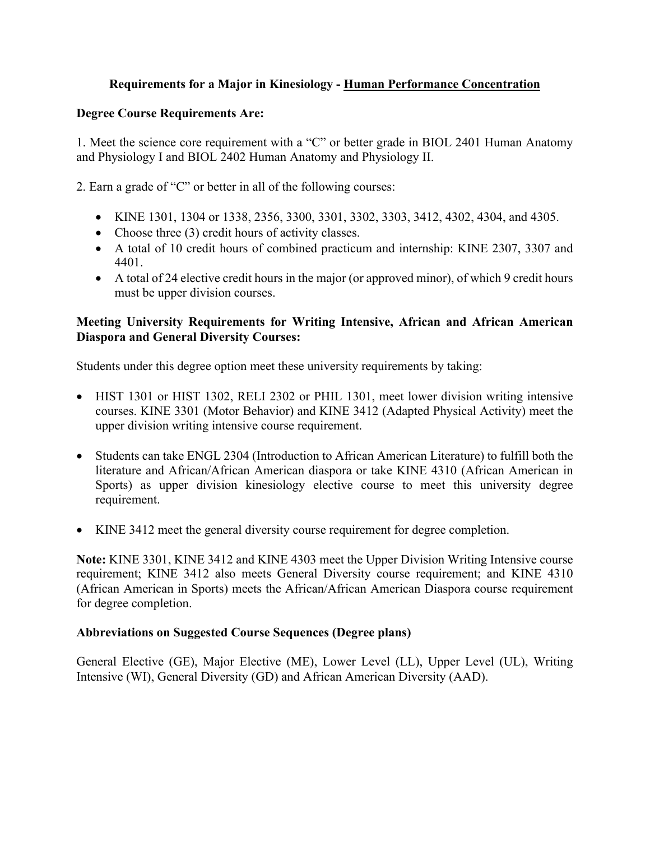## **Requirements for a Major in Kinesiology - Human Performance Concentration**

## **Degree Course Requirements Are:**

1. Meet the science core requirement with a "C" or better grade in BIOL 2401 Human Anatomy and Physiology I and BIOL 2402 Human Anatomy and Physiology II.

2. Earn a grade of "C" or better in all of the following courses:

- KINE 1301, 1304 or 1338, 2356, 3300, 3301, 3302, 3303, 3412, 4302, 4304, and 4305.
- Choose three (3) credit hours of activity classes.
- A total of 10 credit hours of combined practicum and internship: KINE 2307, 3307 and 4401.
- A total of 24 elective credit hours in the major (or approved minor), of which 9 credit hours must be upper division courses.

## **Meeting University Requirements for Writing Intensive, African and African American Diaspora and General Diversity Courses:**

Students under this degree option meet these university requirements by taking:

- HIST 1301 or HIST 1302, RELI 2302 or PHIL 1301, meet lower division writing intensive courses. KINE 3301 (Motor Behavior) and KINE 3412 (Adapted Physical Activity) meet the upper division writing intensive course requirement.
- Students can take ENGL 2304 (Introduction to African American Literature) to fulfill both the literature and African/African American diaspora or take KINE 4310 (African American in Sports) as upper division kinesiology elective course to meet this university degree requirement.
- KINE 3412 meet the general diversity course requirement for degree completion.

**Note:** KINE 3301, KINE 3412 and KINE 4303 meet the Upper Division Writing Intensive course requirement; KINE 3412 also meets General Diversity course requirement; and KINE 4310 (African American in Sports) meets the African/African American Diaspora course requirement for degree completion.

#### **Abbreviations on Suggested Course Sequences (Degree plans)**

General Elective (GE), Major Elective (ME), Lower Level (LL), Upper Level (UL), Writing Intensive (WI), General Diversity (GD) and African American Diversity (AAD).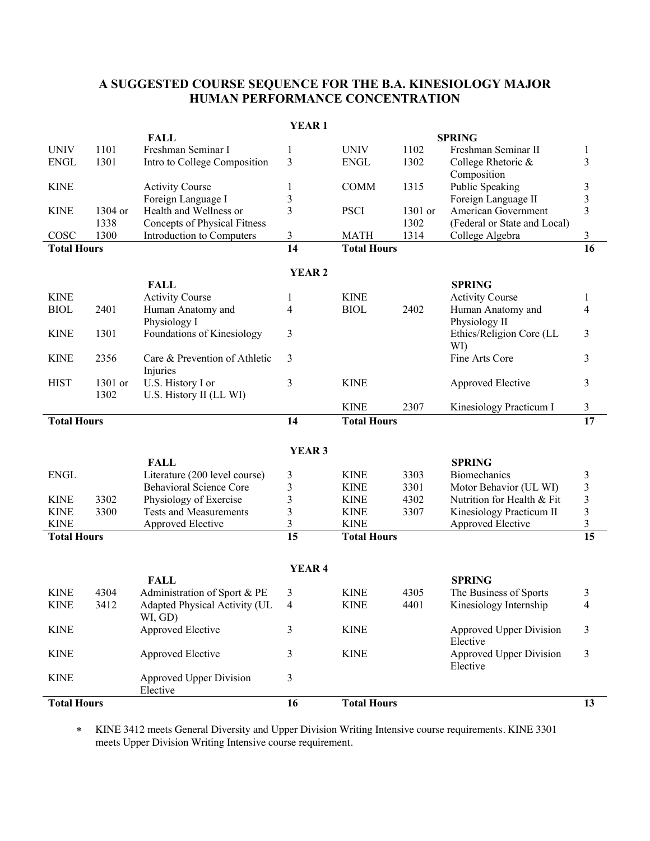#### **A SUGGESTED COURSE SEQUENCE FOR THE B.A. KINESIOLOGY MAJOR HUMAN PERFORMANCE CONCENTRATION**

|                    |                 |                                | <b>YEAR1</b>      |                    |         |                              |                 |
|--------------------|-----------------|--------------------------------|-------------------|--------------------|---------|------------------------------|-----------------|
|                    |                 | <b>FALL</b>                    |                   |                    |         | <b>SPRING</b>                |                 |
| <b>UNIV</b>        | 1101            | Freshman Seminar I             | $\mathbf{1}$      | <b>UNIV</b>        | 1102    | Freshman Seminar II          | $\mathbf{1}$    |
| <b>ENGL</b>        | 1301            | Intro to College Composition   | 3                 | <b>ENGL</b>        | 1302    | College Rhetoric &           | 3               |
|                    |                 |                                |                   |                    |         | Composition                  |                 |
| <b>KINE</b>        |                 | <b>Activity Course</b>         | 1                 | <b>COMM</b>        | 1315    | Public Speaking              | 3               |
|                    |                 | Foreign Language I             | 3                 |                    |         | Foreign Language II          | 3               |
| <b>KINE</b>        | 1304 or         | Health and Wellness or         | 3                 | <b>PSCI</b>        | 1301 or | American Government          | 3               |
|                    | 1338            | Concepts of Physical Fitness   |                   |                    | 1302    | (Federal or State and Local) |                 |
| COSC               | 1300            | Introduction to Computers      | 3                 | <b>MATH</b>        | 1314    | College Algebra              | 3               |
| <b>Total Hours</b> |                 |                                | $\overline{14}$   | <b>Total Hours</b> |         |                              | 16              |
|                    |                 |                                |                   |                    |         |                              |                 |
|                    |                 |                                | <b>YEAR2</b>      |                    |         |                              |                 |
|                    |                 | <b>FALL</b>                    |                   |                    |         | <b>SPRING</b>                |                 |
| <b>KINE</b>        |                 | <b>Activity Course</b>         | 1                 | <b>KINE</b>        |         | <b>Activity Course</b>       | $\mathbf{1}$    |
| <b>BIOL</b>        | 2401            | Human Anatomy and              | $\overline{4}$    | <b>BIOL</b>        | 2402    | Human Anatomy and            | 4               |
|                    |                 | Physiology I                   |                   |                    |         | Physiology II                |                 |
| <b>KINE</b>        | 1301            | Foundations of Kinesiology     | $\mathfrak{Z}$    |                    |         | Ethics/Religion Core (LL     | 3               |
|                    |                 |                                |                   |                    |         | WI)                          |                 |
| <b>KINE</b>        | 2356            | Care & Prevention of Athletic  | 3                 |                    |         | Fine Arts Core               | 3               |
|                    |                 | Injuries                       |                   |                    |         |                              |                 |
| <b>HIST</b>        | 1301 or<br>1302 | U.S. History I or              | 3                 | <b>KINE</b>        |         | Approved Elective            | 3               |
|                    |                 | U.S. History II (LL WI)        |                   | <b>KINE</b>        | 2307    | Kinesiology Practicum I      | 3               |
|                    |                 |                                |                   |                    |         |                              |                 |
|                    |                 |                                |                   |                    |         |                              |                 |
| <b>Total Hours</b> |                 |                                | 14                | <b>Total Hours</b> |         |                              | $\overline{17}$ |
|                    |                 |                                |                   |                    |         |                              |                 |
|                    |                 |                                | YEAR <sub>3</sub> |                    |         |                              |                 |
|                    |                 | <b>FALL</b>                    |                   |                    |         | <b>SPRING</b>                |                 |
| <b>ENGL</b>        |                 | Literature (200 level course)  | 3                 | <b>KINE</b>        | 3303    | Biomechanics                 | 3               |
|                    |                 | <b>Behavioral Science Core</b> | 3                 | <b>KINE</b>        | 3301    | Motor Behavior (UL WI)       | 3               |
| <b>KINE</b>        | 3302            | Physiology of Exercise         | 3                 | <b>KINE</b>        | 4302    | Nutrition for Health & Fit   | $\mathfrak{Z}$  |
| <b>KINE</b>        | 3300            | <b>Tests and Measurements</b>  | 3                 | <b>KINE</b>        | 3307    | Kinesiology Practicum II     | $\mathfrak{Z}$  |
| <b>KINE</b>        |                 | Approved Elective              | 3                 | <b>KINE</b>        |         | Approved Elective            | 3               |
| <b>Total Hours</b> |                 |                                | 15                | <b>Total Hours</b> |         |                              | 15              |
|                    |                 |                                |                   |                    |         |                              |                 |
|                    |                 |                                | YEAR <sub>4</sub> |                    |         |                              |                 |
|                    |                 | <b>FALL</b>                    |                   |                    |         | <b>SPRING</b>                |                 |
| <b>KINE</b>        | 4304            | Administration of Sport & PE   | 3                 | <b>KINE</b>        | 4305    | The Business of Sports       | 3               |
| <b>KINE</b>        | 3412            | Adapted Physical Activity (UL  | 4                 | <b>KINE</b>        | 4401    | Kinesiology Internship       | 4               |
|                    |                 | WI, GD)                        |                   |                    |         |                              |                 |
| <b>KINE</b>        |                 | Approved Elective              | $\mathfrak{Z}$    | <b>KINE</b>        |         | Approved Upper Division      | 3               |
|                    |                 |                                |                   |                    |         | Elective                     |                 |
| <b>KINE</b>        |                 | Approved Elective              | 3                 | <b>KINE</b>        |         | Approved Upper Division      | 3               |
|                    |                 |                                |                   |                    |         | Elective                     |                 |
| <b>KINE</b>        |                 | Approved Upper Division        | 3                 |                    |         |                              |                 |
| <b>Total Hours</b> |                 | Elective                       | 16                | <b>Total Hours</b> |         |                              | 13              |

\* KINE 3412 meets General Diversity and Upper Division Writing Intensive course requirements. KINE 3301 meets Upper Division Writing Intensive course requirement.